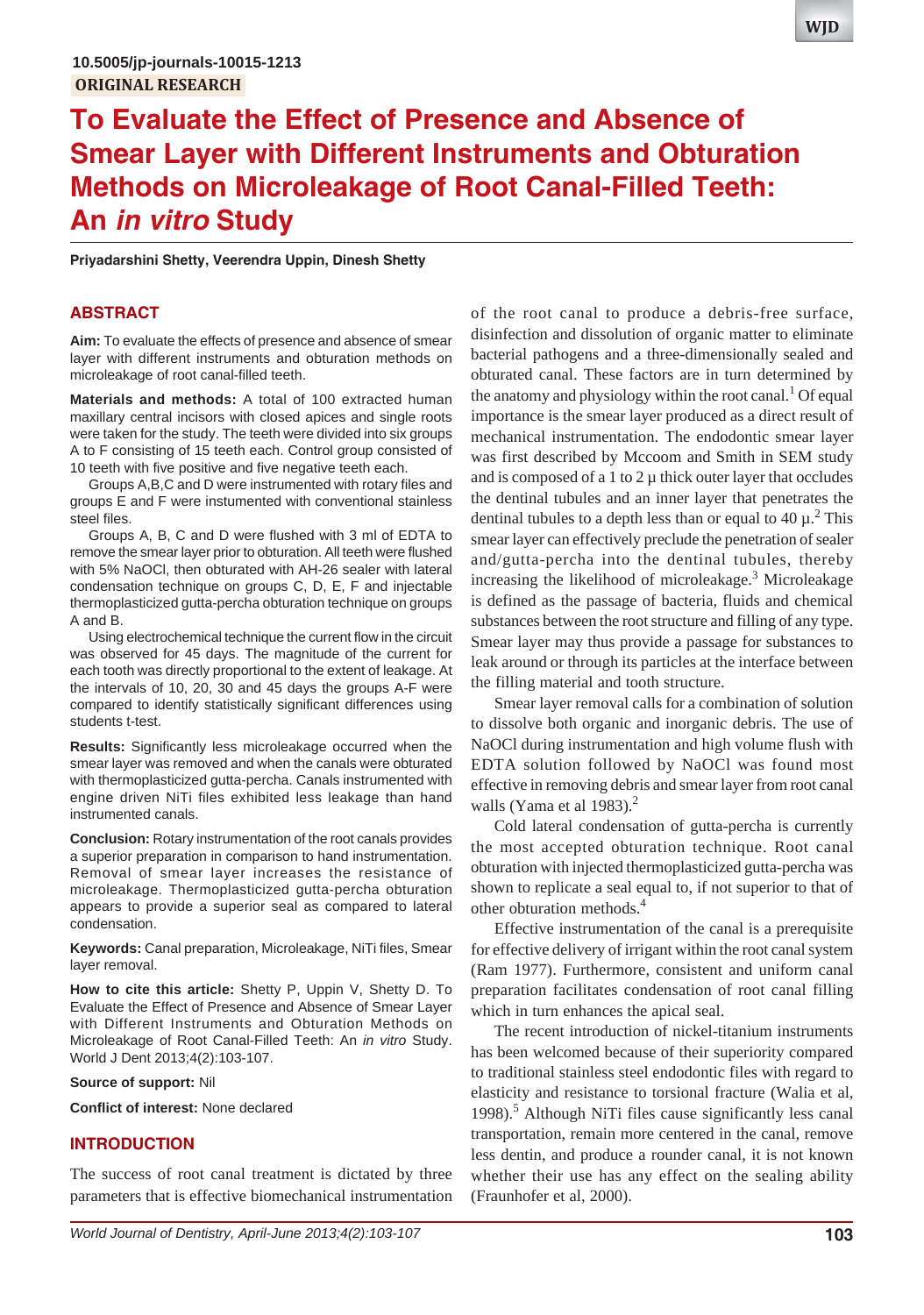# **To Evaluate the Effect of Presence and Absence of Smear Layer with Different Instruments and Obturation Methods on Microleakage of Root Canal-Filled Teeth: An** *in vitro* **Study**

**Priyadarshini Shetty, Veerendra Uppin, Dinesh Shetty**

#### **ABSTRACT**

**Aim:** To evaluate the effects of presence and absence of smear layer with different instruments and obturation methods on microleakage of root canal-filled teeth.

**Materials and methods:** A total of 100 extracted human maxillary central incisors with closed apices and single roots were taken for the study. The teeth were divided into six groups A to F consisting of 15 teeth each. Control group consisted of 10 teeth with five positive and five negative teeth each.

Groups A,B,C and D were instrumented with rotary files and groups E and F were instumented with conventional stainless steel files.

Groups A, B, C and D were flushed with 3 ml of EDTA to remove the smear layer prior to obturation. All teeth were flushed with 5% NaOCl, then obturated with AH-26 sealer with lateral condensation technique on groups C, D, E, F and injectable thermoplasticized gutta-percha obturation technique on groups A and B.

Using electrochemical technique the current flow in the circuit was observed for 45 days. The magnitude of the current for each tooth was directly proportional to the extent of leakage. At the intervals of 10, 20, 30 and 45 days the groups A-F were compared to identify statistically significant differences using students t-test.

**Results:** Significantly less microleakage occurred when the smear layer was removed and when the canals were obturated with thermoplasticized gutta-percha. Canals instrumented with engine driven NiTi files exhibited less leakage than hand instrumented canals.

**Conclusion:** Rotary instrumentation of the root canals provides a superior preparation in comparison to hand instrumentation. Removal of smear layer increases the resistance of microleakage. Thermoplasticized gutta-percha obturation appears to provide a superior seal as compared to lateral condensation.

**Keywords:** Canal preparation, Microleakage, NiTi files, Smear layer removal.

**How to cite this article:** Shetty P, Uppin V, Shetty D. To Evaluate the Effect of Presence and Absence of Smear Layer with Different Instruments and Obturation Methods on Microleakage of Root Canal-Filled Teeth: An *in vitro* Study. World J Dent 2013;4(2):103-107.

#### **Source of support:** Nil

**Conflict of interest:** None declared

#### **INTRODUCTION**

The success of root canal treatment is dictated by three parameters that is effective biomechanical instrumentation of the root canal to produce a debris-free surface, disinfection and dissolution of organic matter to eliminate bacterial pathogens and a three-dimensionally sealed and obturated canal. These factors are in turn determined by the anatomy and physiology within the root canal.<sup>1</sup> Of equal importance is the smear layer produced as a direct result of mechanical instrumentation. The endodontic smear layer was first described by Mccoom and Smith in SEM study and is composed of a 1 to  $2 \mu$  thick outer layer that occludes the dentinal tubules and an inner layer that penetrates the dentinal tubules to a depth less than or equal to 40  $\mu$ .<sup>2</sup> This smear layer can effectively preclude the penetration of sealer and/gutta-percha into the dentinal tubules, thereby increasing the likelihood of microleakage.<sup>3</sup> Microleakage is defined as the passage of bacteria, fluids and chemical substances between the root structure and filling of any type. Smear layer may thus provide a passage for substances to leak around or through its particles at the interface between the filling material and tooth structure.

Smear layer removal calls for a combination of solution to dissolve both organic and inorganic debris. The use of NaOCl during instrumentation and high volume flush with EDTA solution followed by NaOCl was found most effective in removing debris and smear layer from root canal walls (Yama et al 1983). $<sup>2</sup>$ </sup>

Cold lateral condensation of gutta-percha is currently the most accepted obturation technique. Root canal obturation with injected thermoplasticized gutta-percha was shown to replicate a seal equal to, if not superior to that of other obturation methods.4

Effective instrumentation of the canal is a prerequisite for effective delivery of irrigant within the root canal system (Ram 1977). Furthermore, consistent and uniform canal preparation facilitates condensation of root canal filling which in turn enhances the apical seal.

The recent introduction of nickel-titanium instruments has been welcomed because of their superiority compared to traditional stainless steel endodontic files with regard to elasticity and resistance to torsional fracture (Walia et al, 1998).<sup>5</sup> Although NiTi files cause significantly less canal transportation, remain more centered in the canal, remove less dentin, and produce a rounder canal, it is not known whether their use has any effect on the sealing ability (Fraunhofer et al, 2000).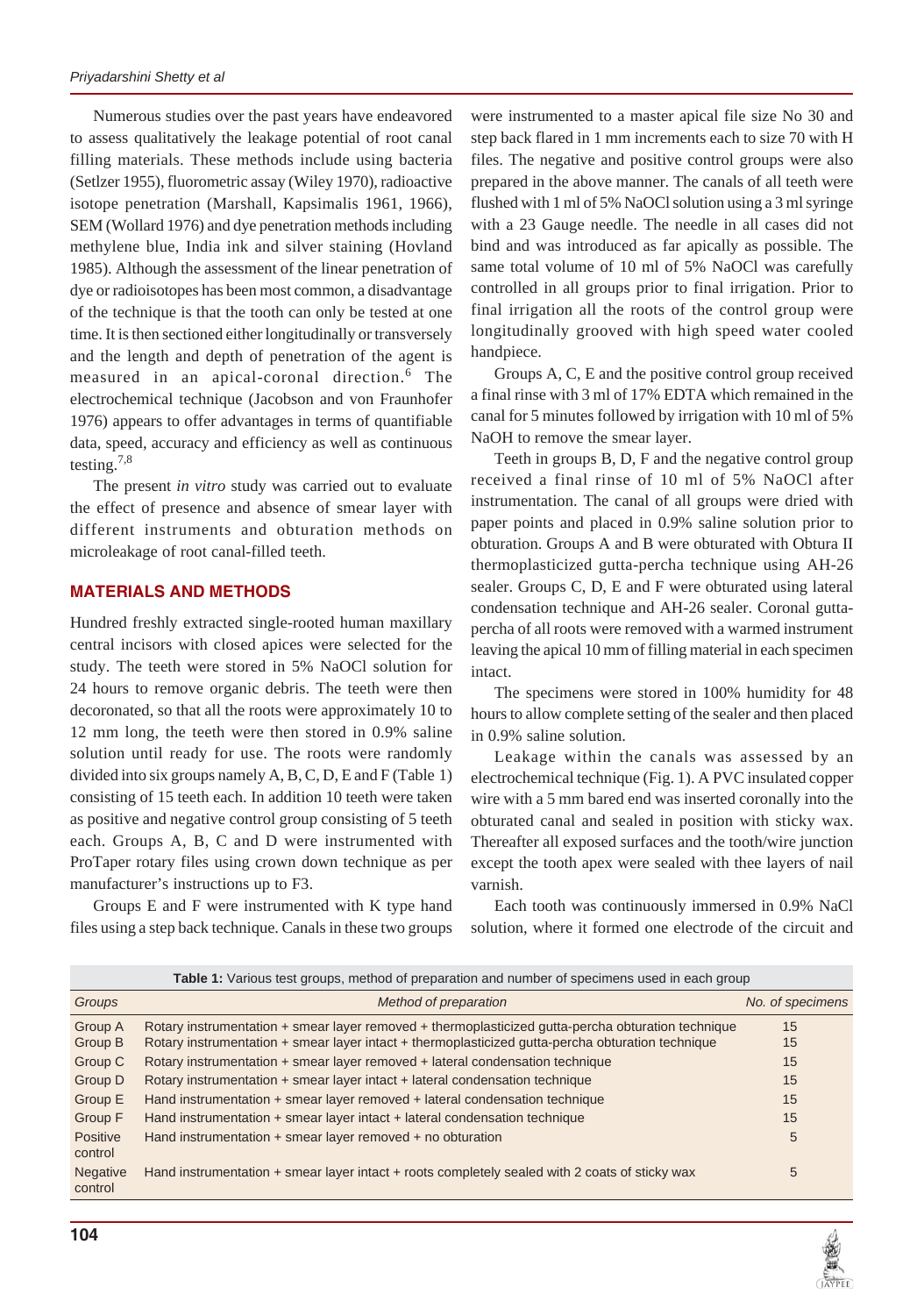Numerous studies over the past years have endeavored to assess qualitatively the leakage potential of root canal filling materials. These methods include using bacteria (Setlzer 1955), fluorometric assay (Wiley 1970), radioactive isotope penetration (Marshall, Kapsimalis 1961, 1966), SEM (Wollard 1976) and dye penetration methods including methylene blue, India ink and silver staining (Hovland 1985). Although the assessment of the linear penetration of dye or radioisotopes has been most common, a disadvantage of the technique is that the tooth can only be tested at one time. It is then sectioned either longitudinally or transversely and the length and depth of penetration of the agent is measured in an apical-coronal direction.<sup>6</sup> The electrochemical technique (Jacobson and von Fraunhofer 1976) appears to offer advantages in terms of quantifiable data, speed, accuracy and efficiency as well as continuous testing.<sup>7,8</sup>

The present *in vitro* study was carried out to evaluate the effect of presence and absence of smear layer with different instruments and obturation methods on microleakage of root canal-filled teeth.

#### **MATERIALS AND METHODS**

Hundred freshly extracted single-rooted human maxillary central incisors with closed apices were selected for the study. The teeth were stored in 5% NaOCl solution for 24 hours to remove organic debris. The teeth were then decoronated, so that all the roots were approximately 10 to 12 mm long, the teeth were then stored in 0.9% saline solution until ready for use. The roots were randomly divided into six groups namely A, B, C, D, E and F (Table 1) consisting of 15 teeth each. In addition 10 teeth were taken as positive and negative control group consisting of 5 teeth each. Groups A, B, C and D were instrumented with ProTaper rotary files using crown down technique as per manufacturer's instructions up to F3.

Groups E and F were instrumented with K type hand files using a step back technique. Canals in these two groups

were instrumented to a master apical file size No 30 and step back flared in 1 mm increments each to size 70 with H files. The negative and positive control groups were also prepared in the above manner. The canals of all teeth were flushed with 1 ml of 5% NaOCl solution using a 3 ml syringe with a 23 Gauge needle. The needle in all cases did not bind and was introduced as far apically as possible. The same total volume of 10 ml of 5% NaOCl was carefully controlled in all groups prior to final irrigation. Prior to final irrigation all the roots of the control group were longitudinally grooved with high speed water cooled handpiece.

Groups A, C, E and the positive control group received a final rinse with 3 ml of 17% EDTA which remained in the canal for 5 minutes followed by irrigation with 10 ml of 5% NaOH to remove the smear layer.

Teeth in groups B, D, F and the negative control group received a final rinse of 10 ml of 5% NaOCl after instrumentation. The canal of all groups were dried with paper points and placed in 0.9% saline solution prior to obturation. Groups A and B were obturated with Obtura II thermoplasticized gutta-percha technique using AH-26 sealer. Groups C, D, E and F were obturated using lateral condensation technique and AH-26 sealer. Coronal guttapercha of all roots were removed with a warmed instrument leaving the apical 10 mm of filling material in each specimen intact.

The specimens were stored in 100% humidity for 48 hours to allow complete setting of the sealer and then placed in 0.9% saline solution.

Leakage within the canals was assessed by an electrochemical technique (Fig. 1). A PVC insulated copper wire with a 5 mm bared end was inserted coronally into the obturated canal and sealed in position with sticky wax. Thereafter all exposed surfaces and the tooth/wire junction except the tooth apex were sealed with thee layers of nail varnish.

Each tooth was continuously immersed in 0.9% NaCl solution, where it formed one electrode of the circuit and

| Table 1: Various test groups, method of preparation and number of specimens used in each group |                                                                                                                                                                                                         |                  |  |  |  |
|------------------------------------------------------------------------------------------------|---------------------------------------------------------------------------------------------------------------------------------------------------------------------------------------------------------|------------------|--|--|--|
| Groups                                                                                         | Method of preparation                                                                                                                                                                                   | No. of specimens |  |  |  |
| Group A<br>Group B                                                                             | Rotary instrumentation + smear layer removed + thermoplasticized gutta-percha obturation technique<br>Rotary instrumentation + smear layer intact + thermoplasticized gutta-percha obturation technique | 15<br>15         |  |  |  |
| Group C                                                                                        | Rotary instrumentation + smear layer removed + lateral condensation technique                                                                                                                           | 15               |  |  |  |
| Group D                                                                                        | Rotary instrumentation $+$ smear layer intact $+$ lateral condensation technique                                                                                                                        | 15               |  |  |  |
| Group E                                                                                        | Hand instrumentation + smear layer removed + lateral condensation technique                                                                                                                             | 15               |  |  |  |
| Group F                                                                                        | Hand instrumentation $+$ smear layer intact $+$ lateral condensation technique                                                                                                                          | 15               |  |  |  |
| Positive<br>control                                                                            | Hand instrumentation + smear layer removed + no obturation                                                                                                                                              | 5                |  |  |  |
| <b>Negative</b><br>control                                                                     | Hand instrumentation + smear layer intact + roots completely sealed with 2 coats of sticky wax                                                                                                          | 5                |  |  |  |

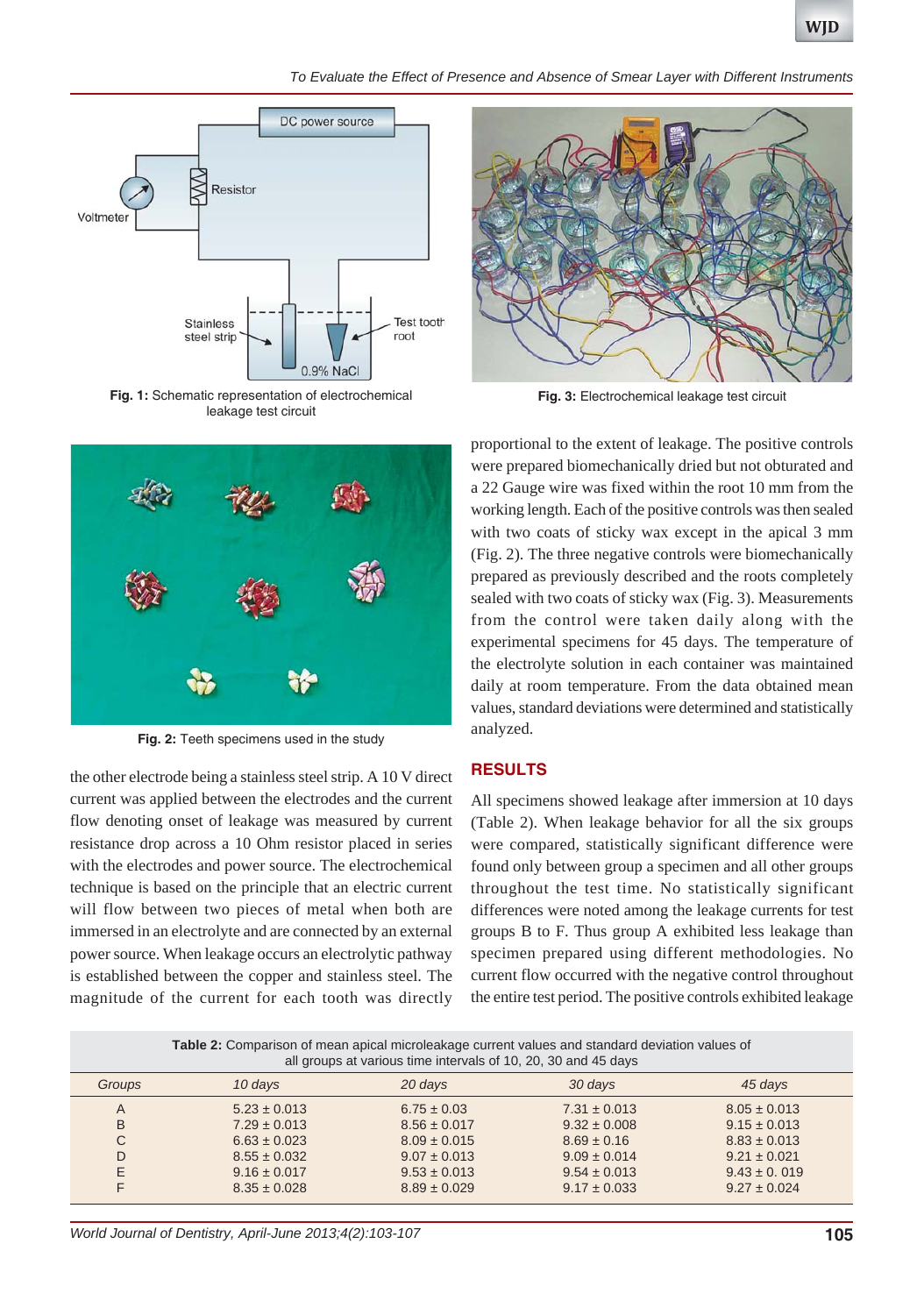

*To Evaluate the Effect of Presence and Absence of Smear Layer with Different Instruments*



**Fig. 1:** Schematic representation of electrochemical leakage test circuit



**Fig. 2:** Teeth specimens used in the study

the other electrode being a stainless steel strip. A 10 V direct current was applied between the electrodes and the current flow denoting onset of leakage was measured by current resistance drop across a 10 Ohm resistor placed in series with the electrodes and power source. The electrochemical technique is based on the principle that an electric current will flow between two pieces of metal when both are immersed in an electrolyte and are connected by an external power source. When leakage occurs an electrolytic pathway is established between the copper and stainless steel. The magnitude of the current for each tooth was directly



**Fig. 3:** Electrochemical leakage test circuit

proportional to the extent of leakage. The positive controls were prepared biomechanically dried but not obturated and a 22 Gauge wire was fixed within the root 10 mm from the working length. Each of the positive controls was then sealed with two coats of sticky wax except in the apical 3 mm (Fig. 2). The three negative controls were biomechanically prepared as previously described and the roots completely sealed with two coats of sticky wax (Fig. 3). Measurements from the control were taken daily along with the experimental specimens for 45 days. The temperature of the electrolyte solution in each container was maintained daily at room temperature. From the data obtained mean values, standard deviations were determined and statistically analyzed.

#### **RESULTS**

All specimens showed leakage after immersion at 10 days (Table 2). When leakage behavior for all the six groups were compared, statistically significant difference were found only between group a specimen and all other groups throughout the test time. No statistically significant differences were noted among the leakage currents for test groups B to F. Thus group A exhibited less leakage than specimen prepared using different methodologies. No current flow occurred with the negative control throughout the entire test period. The positive controls exhibited leakage

|                | Table 2: Comparison of mean apical microleakage current values and standard deviation values of<br>all groups at various time intervals of 10, 20, 30 and 45 days |                  |                  |                  |  |
|----------------|-------------------------------------------------------------------------------------------------------------------------------------------------------------------|------------------|------------------|------------------|--|
| Groups         | 10 days                                                                                                                                                           | 20 days          | 30 days          | 45 days          |  |
| $\overline{A}$ | $5.23 \pm 0.013$                                                                                                                                                  | $6.75 \pm 0.03$  | $7.31 \pm 0.013$ | $8.05 \pm 0.013$ |  |
| B              | $7.29 \pm 0.013$                                                                                                                                                  | $8.56 \pm 0.017$ | $9.32 \pm 0.008$ | $9.15 \pm 0.013$ |  |
| C              | $6.63 \pm 0.023$                                                                                                                                                  | $8.09 \pm 0.015$ | $8.69 \pm 0.16$  | $8.83 \pm 0.013$ |  |
| D              | $8.55 \pm 0.032$                                                                                                                                                  | $9.07 \pm 0.013$ | $9.09 \pm 0.014$ | $9.21 \pm 0.021$ |  |
| E              | $9.16 \pm 0.017$                                                                                                                                                  | $9.53 \pm 0.013$ | $9.54 \pm 0.013$ | $9.43 \pm 0.019$ |  |
| F              | $8.35 \pm 0.028$                                                                                                                                                  | $8.89 \pm 0.029$ | $9.17 \pm 0.033$ | $9.27 \pm 0.024$ |  |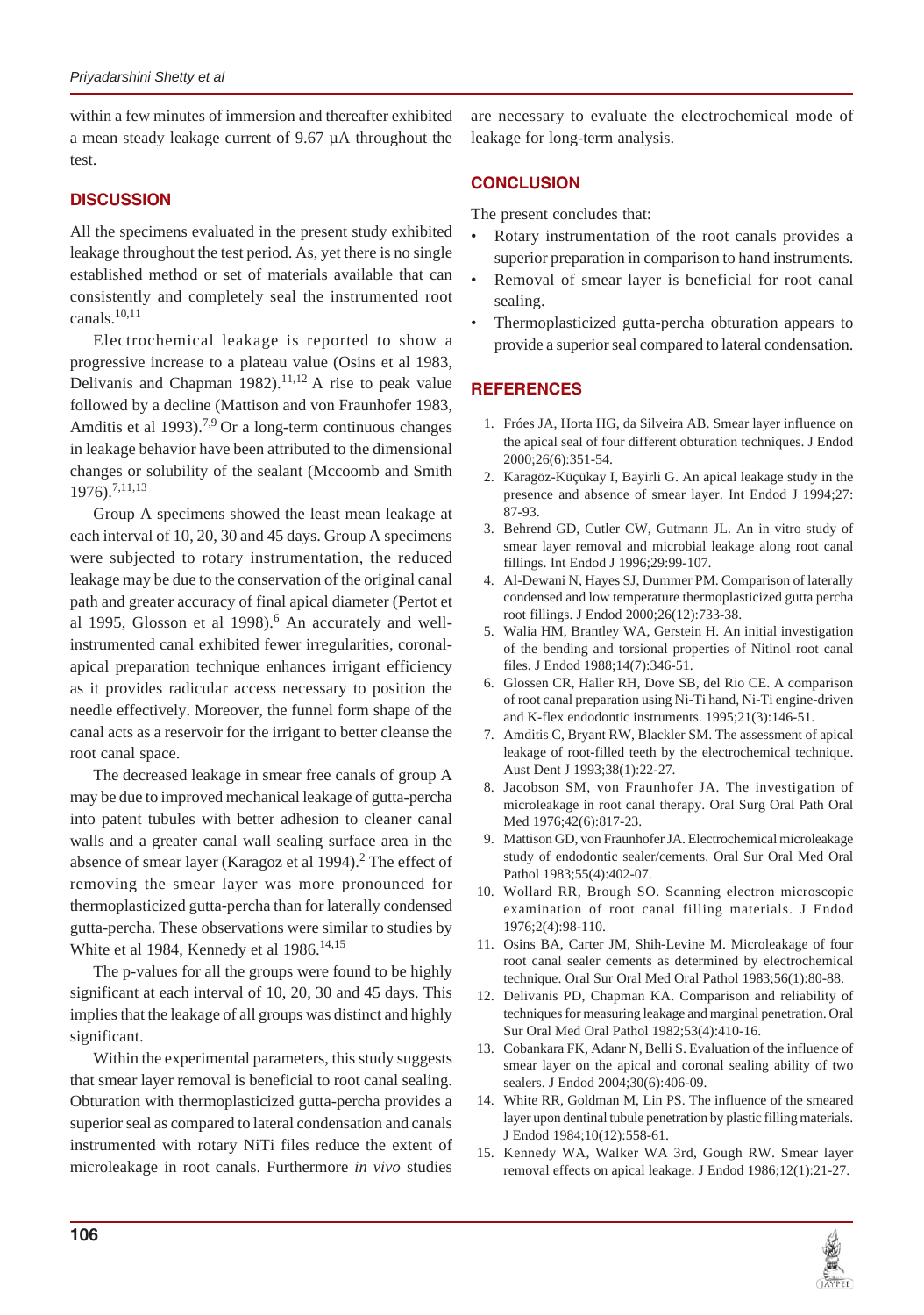within a few minutes of immersion and thereafter exhibited a mean steady leakage current of 9.67 µA throughout the test.

## **DISCUSSION**

All the specimens evaluated in the present study exhibited leakage throughout the test period. As, yet there is no single established method or set of materials available that can consistently and completely seal the instrumented root canals. $10,11$ 

Electrochemical leakage is reported to show a progressive increase to a plateau value (Osins et al 1983, Delivanis and Chapman 1982).<sup>11,12</sup> A rise to peak value followed by a decline (Mattison and von Fraunhofer 1983, Amditis et al 1993).<sup>7,9</sup> Or a long-term continuous changes in leakage behavior have been attributed to the dimensional changes or solubility of the sealant (Mccoomb and Smith 1976).7,11,13

Group A specimens showed the least mean leakage at each interval of 10, 20, 30 and 45 days. Group A specimens were subjected to rotary instrumentation, the reduced leakage may be due to the conservation of the original canal path and greater accuracy of final apical diameter (Pertot et al 1995, Glosson et al 1998). $<sup>6</sup>$  An accurately and well-</sup> instrumented canal exhibited fewer irregularities, coronalapical preparation technique enhances irrigant efficiency as it provides radicular access necessary to position the needle effectively. Moreover, the funnel form shape of the canal acts as a reservoir for the irrigant to better cleanse the root canal space.

The decreased leakage in smear free canals of group A may be due to improved mechanical leakage of gutta-percha into patent tubules with better adhesion to cleaner canal walls and a greater canal wall sealing surface area in the absence of smear layer (Karagoz et al 1994).<sup>2</sup> The effect of removing the smear layer was more pronounced for thermoplasticized gutta-percha than for laterally condensed gutta-percha. These observations were similar to studies by White et al 1984, Kennedy et al  $1986$ <sup>14,15</sup>

The p-values for all the groups were found to be highly significant at each interval of 10, 20, 30 and 45 days. This implies that the leakage of all groups was distinct and highly significant.

Within the experimental parameters, this study suggests that smear layer removal is beneficial to root canal sealing. Obturation with thermoplasticized gutta-percha provides a superior seal as compared to lateral condensation and canals instrumented with rotary NiTi files reduce the extent of microleakage in root canals. Furthermore *in vivo* studies

are necessary to evaluate the electrochemical mode of leakage for long-term analysis.

### **CONCLUSION**

The present concludes that:

- Rotary instrumentation of the root canals provides a superior preparation in comparison to hand instruments.
- Removal of smear layer is beneficial for root canal sealing.
- Thermoplasticized gutta-percha obturation appears to provide a superior seal compared to lateral condensation.

# **REFERENCES**

- 1. Fróes JA, Horta HG, da Silveira AB. Smear layer influence on the apical seal of four different obturation techniques. J Endod 2000;26(6):351-54.
- 2. Karagöz-Küçükay I, Bayirli G. An apical leakage study in the presence and absence of smear layer. Int Endod J 1994;27: 87-93.
- 3. Behrend GD, Cutler CW, Gutmann JL. An in vitro study of smear layer removal and microbial leakage along root canal fillings. Int Endod J 1996;29:99-107.
- 4. Al-Dewani N, Hayes SJ, Dummer PM. Comparison of laterally condensed and low temperature thermoplasticized gutta percha root fillings. J Endod 2000;26(12):733-38.
- 5. Walia HM, Brantley WA, Gerstein H. An initial investigation of the bending and torsional properties of Nitinol root canal files. J Endod 1988;14(7):346-51.
- 6. Glossen CR, Haller RH, Dove SB, del Rio CE. A comparison of root canal preparation using Ni-Ti hand, Ni-Ti engine-driven and K-flex endodontic instruments. 1995;21(3):146-51.
- 7. Amditis C, Bryant RW, Blackler SM. The assessment of apical leakage of root-filled teeth by the electrochemical technique. Aust Dent J 1993;38(1):22-27.
- 8. Jacobson SM, von Fraunhofer JA. The investigation of microleakage in root canal therapy. Oral Surg Oral Path Oral Med 1976;42(6):817-23.
- 9. Mattison GD, von Fraunhofer JA. Electrochemical microleakage study of endodontic sealer/cements. Oral Sur Oral Med Oral Pathol 1983;55(4):402-07.
- 10. Wollard RR, Brough SO. Scanning electron microscopic examination of root canal filling materials. J Endod 1976;2(4):98-110.
- 11. Osins BA, Carter JM, Shih-Levine M. Microleakage of four root canal sealer cements as determined by electrochemical technique. Oral Sur Oral Med Oral Pathol 1983;56(1):80-88.
- 12. Delivanis PD, Chapman KA. Comparison and reliability of techniques for measuring leakage and marginal penetration. Oral Sur Oral Med Oral Pathol 1982;53(4):410-16.
- 13. Cobankara FK, Adanr N, Belli S. Evaluation of the influence of smear layer on the apical and coronal sealing ability of two sealers. J Endod 2004;30(6):406-09.
- 14. White RR, Goldman M, Lin PS. The influence of the smeared layer upon dentinal tubule penetration by plastic filling materials. J Endod 1984;10(12):558-61.
- 15. Kennedy WA, Walker WA 3rd, Gough RW. Smear layer removal effects on apical leakage. J Endod 1986;12(1):21-27.